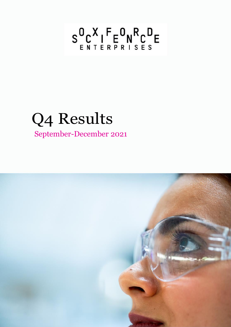# $S_{ENTERPRISES}^{0}$

## Q4 Results September-December 2021

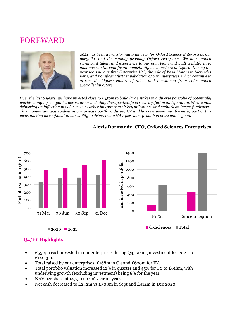## FOREWARD



*2021 has been a transformational year for Oxford Science Enterprises, our portfolio, and the rapidly growing Oxford ecosystem. We have added significant talent and experience to our own team and built a platform to maximise on the significant opportunity we have here in Oxford. During the year we saw our first Enterprise IPO, the sale of Yasa Motors to Mercedes Benz, and significant further validation of our Enterprises, which continue to attract the highest calibre of talent and investment from value added specialist investors.* 

*Over the last 6 years, we have invested close to £450m to build large stakes in a diverse portfolio of potentially world-changing companies across areas including therapeutics, food security, fusion and quantum. We are now delivering an inflection in value as our earlier investments hit key milestones and embark on larger fundraises. This momentum was evident in our private portfolio during Q4 and has continued into the early part of this year, making us confident in our ability to drive strong NAV per share growth in 2022 and beyond.* 



### **Alexis Dormandy, CEO, Oxford Sciences Enterprises**

## **Q4/FY Highlights**

- $£55.4m$  cash invested in our enterprises during O4, taking investment for 2021 to £146.3m.
- Total raised by our enterprises, £168m in O4 and £620m for FY.
- Total portfolio valuation increased 12% in quarter and 45% for FY to £618m, with underlying growth (excluding investment) being 8% for the year.
- NAV per share of 147.5p up 2% year on year.
- Net cash decreased to £242m vs £300m in Sept and £412m in Dec 2020.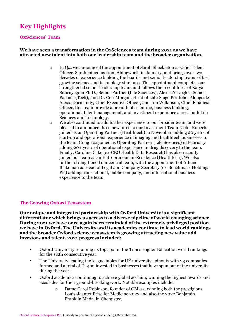## **Key Highlights**

#### **OxSciences' Team**

#### **We have seen a transformation in the OxSciences team during 2021 as we have attracted new talent into both our leadership team and the broader organisation.**

- o In Q4, we announced the appointment of Sarah Shackleton as Chief Talent Officer. Sarah joined us from Abingworth in January, and brings over two decades of experience building the boards and senior leadership teams of fast growing science and technology start-ups. This appointment completes our strengthened senior leadership team, and follows the recent hires of Katya Smirnyagina Ph.D., Senior Partner (Life Sciences); Alexis Zervoglos, Senior Partner (Tech); and Dr. Ceri Morgan, Head of Late Stage Portfolio. Alongside Alexis Dormandy, Chief Executive Officer, and Jim Wilkinson, Chief Financial Officer, this team provide a breadth of scientific, business building, operational, talent management, and investment experience across both Life Sciences and Technology.
- o We also continued to add further experience to our broader team, and were pleased to announce three new hires to our Investment Team. Colin Roberts joined as an Operating Partner (Healthtech) in November, adding 20 years of start-up and operational experience in imaging and healthtech businesses to the team. Craig Fox joined as Operating Partner (Life Sciences) in February adding 20+ years of operational experience in drug discovery to the team. Finally, Caroline Cake (ex-CEO Health Data Research) has also recently joined our team as an Entrepreneur-in-Residence (Healthtech). We also further strengthened our central team, with the appointment of Athene Blakeman as Head of Legal and Company Secretary (ex-Benchmark Holdings Plc) adding transactional, public company, and international business experience to the team.

#### **The Growing Oxford Ecosystem**

**Our unique and integrated partnership with Oxford University is a significant differentiator which brings us access to a diverse pipeline of world changing science. During 2021 we have once again been reminded of the extremely privileged position we have in Oxford. The University and its academics continue to lead world rankings and the broader Oxford science ecosystem is growing attracting new value add investors and talent. 2021 progress included:**

- Oxford University retaining its top spot in the Times Higher Education world rankings for the sixth consecutive year.
- The University leading the league tables for UK university spinouts with 23 companies formed and a total of  $E_1$ . Also invested in businesses that have spun out of the university during the year.
- Oxford academics continuing to achieve global acclaim, winning the highest awards and accolades for their ground-breaking work. Notable examples include:
	- o Dame Carol Robinson, founder of OMass, winning both the prestigious Louis-Jeantet Prize for Medicine 2022 and also the 2022 Benjamin Franklin Medal in Chemistry.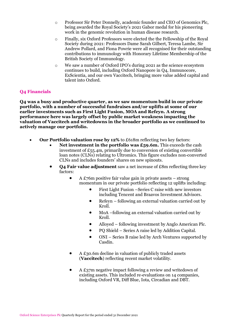- o Professor Sir Peter Donnelly, academic founder and CEO of Genomics Plc, being awarded the Royal Society's 2021 Gabor medal for his pioneering work in the genomic revolution in human disease research.
- o Finally, six Oxford Professors were elected the the Fellowship of the Royal Society during 2021: Professors Dame Sarah Gilbert, Teresa Lambe, Sir Andrew Pollard, and Fiona Powrie were all recognised for their outstanding contributions to immunology with Honorary Lifetime Membership of the British Society of Immunology.
- o We saw a number of Oxford IPO's during 2021 as the science ecosystem continues to build, including Oxford Nanopore in Q4, Immunocore, ExScientia, and our own Vaccitech, bringing more value added capital and talent into Oxford.

#### **Q4 Financials**

**Q4 was a busy and productive quarter, as we saw momentum build in our private portfolio, with a number of successful fundraises and/or uplifts at some of our earlier investments such as First Light Fusion, MOA and Refeyn. A strong performance here was largely offset by public market weakness impacting the valuation of Vaccitech and writedowns in the broader portfolio as we continued to actively manage our portfolio.**

- **Our Portfolio valuation rose by 12%** to £618m reflecting two key factors:
	- **Net investment in the portfolio was £59.6m.** This exceeds the cash investment of  $E_{55.4}$ m, primarily due to conversion of existing convertible loan notes (CLNs) relating to Ultromics. This figure excludes non-converted CLNs and includes founders' shares on new spinouts.
	- **Q4 Fair value adjustment** saw a net increase of £8m reflecting three key factors:
		- A  $£76m$  positive fair value gain in private assets  $-$  strong momentum in our private portfolio reflecting 12 uplifts including:
			- First Light Fusion –Series C raise with new investors including Tencent and Braavos Investment Advisors.
			- Refeyn following an external valuation carried out by Kroll.
			- MoA –following an external valuation carried out by Kroll.
			- Alloyed following investment by Anglo American Plc.
			- PQ Shield Series A raise led by Addition Capital.
			- ONI Series B raise led by Arch Ventures supported by Casdin.
		- A £30.6m decline in valuation of publicly traded assets (**Vaccitech**) reflecting recent market volatility.
		- A £37m negative impact following a review and writedown of existing assets. This included re-evaluations on 14 companies, including Oxford VR, Diff Blue, Iota, Circadian and DBT.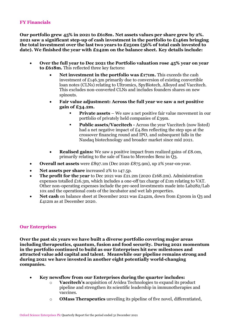### **FY Financials**

**Our portfolio grew 45% in 2021 to £618m. Net assets values per share grew by 2%. 2021 saw a significant step-up of cash investment in the portfolio to £146m bringing the total investment over the last two years to £250m (56% of total cash invested to date). We finished the year with £242m on the balance sheet. Key details include:**

- **Over the full year to Dec 2021 the Portfolio valuation rose 45% year on year to £618m.** This reflected three key factors**:**
	- **Net investment in the portfolio was £171m.** This exceeds the cash investment of £146.3m primarily due to conversion of existing convertible loan notes (CLNs) relating to Ultromics, SpyBiotech, Alloyed and Vaccitech. This excludes non-converted CLNs and includes founders shares on new spinouts.
	- **Fair value adjustment: Across the full year we saw a net positive gain of £34.2m.**
		- **Private assets** We saw a net positive fair value movement in our portfolio of privately held companies of £39m.
		- **Public assets/Vaccitech -** Across the year Vaccitech (now listed) had a net negative impact of £4.8m reflecting the step ups at the crossover financing round and IPO, and subsequent falls in the Nasdaq biotechnology and broader market since mid 2021.
	- **Realised gains:** We saw a positive impact from realized gains of £8.0m, primarily relating to the sale of Yasa to Mercedes Benz in Q3.
- **Overall net assets** were £897.1m (Dec 2020 £875.9m), up 2% year-on-year.
- **Net assets per share** increased 2% to 147.5p.
- **The profit for the year** to Dec 2021 was £21.2m (2020 £168.2m). Administration expenses totalled £16.3m, which includes a one-off tax charge of  $\pounds$ 1m relating to VAT. Other non-operating expenses include the pre-seed investments made into Lab282/Lab 10x and the operational costs of the incubator and wet lab properties.
- Net cash on balance sheet at December 2021 was £242m, down from £300m in Q3 and £412m as at December 2020.

#### **Our Enterprises**

**Over the past six years we have built a diverse portfolio covering major areas including therapeutics, quantum, fusion and food security. During 2021 momentum in the portfolio continued to build as our Enterprises hit new milestones and attracted value add capital and talent. Meanwhile our pipeline remains strong and during 2021 we have invested in another eight potentially world-changing companies.**

- **Key newsflow from our Enterprises during the quarter includes:** 
	- o **Vaccitech's** acquisition of Avidea Technologies to expand its product pipeline and strengthen its scientific leadership in immunotherapies and vaccines.
	- o **OMass Therapeutics** unveiling its pipeline of five novel, differentiated,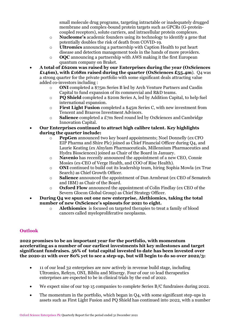small molecule drug programs, targeting intractable or inadequately drugged membrane and complex-bound protein targets such as GPCRs (G-proteincoupled receptors), solute carriers, and intracellular protein complexes.

- o **Nucleome's** academic founders using its technology to identify a gene that potentially doubles the risk of death from COVID-19.
- o **Ultromics** announcing a partnership with Caption Health to put heart disease and detection management tools in the hands of more providers.
- o **OQC** announcing a partnership with AWS making it the first European quantum company on Braket.
- **A total of £620m was raised by our Enterprises during the year (OxSciences £146m), with £168m raised during the quarter (OxSciences £55.4m**). Q4 was a strong quarter for the private portfolio with some significant deals attracting value added co-investors including :
	- o **ONI** completed a \$75m Series B led by Arch Venture Partners and Casdin Capital to fund expansion of its commercial and R&D teams.
	- o **PQ Shield** completed a \$20m Series A, led by Addition Capital, to help fuel international expansion.
	- o **First Light Fusion** completed a \$45m Series C, with new investment from Tencent and Braavos Investment Advisors.
	- o **Salience** completed a £7m Seed round led by OxSciences and Cambridge Innovation Capital.
- **Our Enterprises continued to attract high calibre talent. Key highlights during the quarter include:**
	- o **PepGen** announced two key board appointments; Noel Donnelly (ex CFO EIP Pharma and Shire Plc) joined as Chief Financial Officer during Q4, and Laurie Keating (ex Alnylam Pharmaceuticals, Millennium Pharmaceutics and Hydra Biosciences) joined as Chair of the Board in January.
	- o **Navenio** has recently announced the appointment of a new CEO, Connie Mosies (ex-CEO of Verge Health, and COO of Rise Health).
	- o **ONI** continued to build out its leadership team, hiring Sophia Mowla (ex True Search) as Chief Growth Officer.
	- o **Salience** announced the appointment of Dan Armbrust (ex CEO of Sematech and IBM) as Chair of the Board.
	- o **Oxford Flow** announced the appointment of Colin Findlay (ex CEO of the Severn Glocon Global Group) as Chief Strategy Officer.
- **During Q4 we spun out one new enterprise, Alethiomics, taking the total number of new OxScience's spinouts for 2021 to eight.** 
	- o **Alethiomics** is focused on targeted therapies to treat a family of blood cancers called myeloproliferative neoplasms.

### **Outlook**

**2022 promises to be an important year for the portfolio, with momentum accelerating as a number of our earliest investments hit key milestones and target significant fundraises. 56% of total capital invested to date has been invested over the 2020-21 with over 80% yet to see a step-up, but will begin to do so over 2022/3:**

- 11 of our lead 32 enterprises are now actively in revenue build stage, including Ultromics, Refeyn, ONI, Bibliu and Mixergy. Four of our 10 lead therapeutics enterprises are expected to be in clinical trials by the end of 2022.
- We expect nine of our top 15 companies to complete Series B/C fundraises during 2022.
- The momentum in the portfolio, which began in  $O(4)$ , with some significant step-ups in assets such as First Light Fusion and PQ Shield has continued into 2022, with a number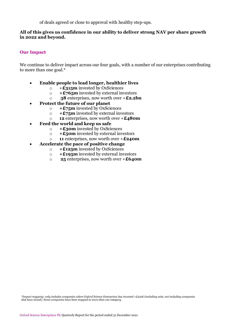of deals agreed or close to approval with healthy step-ups.

#### **All of this gives us confidence in our ability to deliver strong NAV per share growth in 2022 and beyond.**

### **Our Impact**

We continue to deliver impact across our four goals, with a number of our enterprises contributing to more than one goal.\*

- **Enable people to lead longer, healthier lives**
	- o +**£315m** invested by OxSciences
	- o **+£765m** invested by external investors
	- o **38** enterprises, now worth over +**£2.2bn**
- **Protect the future of our planet**
	- o **+£75m** invested by OxSciences
	- o **+£75m** invested by external investors
	- o **12** enterprises, now worth over +**£480m**
- **Feed the world and keep us safe**
	- o **+£30m** invested by OxSciences
	- o **+£50m** invested by external investors
	- o **11** enterprises, now worth over +**£240m**
- **Accelerate the pace of positive change**
	- o **+£125m** invested by OxSciences
	- o **+£195m** invested by external investors
	- o **25** enterprises, now worth over +**£640m**

*\*Impact mapping: only includes companies where Oxford Science Enterprises has invested +£250k (including exits, not including companies that have closed). Some companies have been mapped to more than one category.*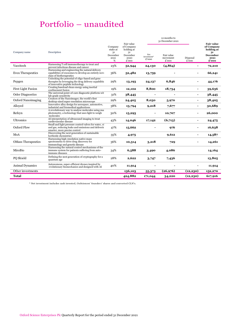## Portfolio – unaudited

|                           |                                                                                                                                               |                                                    |                                                                           |                                         | 12 months to<br>31 December 2021 |                          |                                                                                  |
|---------------------------|-----------------------------------------------------------------------------------------------------------------------------------------------|----------------------------------------------------|---------------------------------------------------------------------------|-----------------------------------------|----------------------------------|--------------------------|----------------------------------------------------------------------------------|
| Company name              | Description                                                                                                                                   | Company<br>stake at<br>31<br>December<br>2021<br>% | Fair value<br>of Company<br>holding at<br>31<br>December<br>2020<br>£'000 | Net<br>investment <sup>*</sup><br>£'000 | Fair value<br>movement<br>£'000  | Disposal<br>£'000        | <b>Fair value</b><br>of Company<br>holding at<br>31<br>December<br>2021<br>£'000 |
| Vaccitech                 | Harnessing T cell immunotherapy to treat and<br>prevent infectious disease and cancer                                                         | 23%                                                | 52,944                                                                    | 24,130                                  | (4, 864)                         | ٠                        | 72,210                                                                           |
| <b>Evox Therapeutics</b>  | Harnessing and engineering the natural delivery<br>capabilities of exosomes to develop an entirely nove<br>class of biotherapeutics           | 36%                                                | 52,482                                                                    | 13,759                                  |                                  |                          | 66,241                                                                           |
| Pepgen                    | Unlocking the potential of oligo-based and gene<br>therapies by leveraging the drug delivery capabilitie<br>of innovative peptide technology  | 29%                                                | 13,193                                                                    | 24,137                                  | 6,846                            |                          | 44,176                                                                           |
| First Light Fusion        | Creating baseload clean energy using inertial<br>confinement fusion                                                                           | 19%                                                | 12,102                                                                    | 8.800                                   | 18,734                           | ٠                        | 39,636                                                                           |
| <b>Osler Diagnostics</b>  | The universal point-of-care diagnostic platform wit<br>lab-grade sensitivity                                                                  | 31%                                                | 38,445                                                                    | ٠                                       |                                  | ٠                        | 38,445                                                                           |
| Oxford Nanoimaging        | Creators of the Nanoimager, the world's first<br>desktop-sized super-resolution microscope                                                    | 29%                                                | 24,405                                                                    | 8,030                                   | 5,970                            | ٠                        | 38,405                                                                           |
| Alloyed                   | Innovative alloy design for aerospace, automotive,<br>industrial and biomedical applications                                                  | 38%                                                | 13,794                                                                    | 9,218                                   | 7,677                            | $\overline{\phantom{a}}$ | 30,689                                                                           |
| Refeyn                    | A revolutionary way to analyse molecules using ma-<br>photometry, a technology that uses light to weigh<br>molecules                          | 30%                                                | 15,293                                                                    |                                         | 10,707                           |                          | 26,000                                                                           |
| <b>Ultromics</b>          | AI interpretation of ultrasound imaging to treat<br>cardiovascular disease                                                                    | 43%                                                | 14,046                                                                    | 17,142                                  | (6,713)                          |                          | 24,475                                                                           |
| Oxford Flow               | Small and light pressure control valves for water, oi<br>and gas, reducing leaks and emissions and deliverir<br>smarter, more precise control | 47%                                                | 15,662                                                                    |                                         | 976                              |                          | 16,638                                                                           |
| MoA                       | Discovering the next generation of sustainable<br>herbicide chemistries                                                                       | 35%                                                | 4,975                                                                     |                                         | 9,612                            | ٠                        | 14,587                                                                           |
| <b>OMass Therapeutics</b> | Harnessing high-resolution native mass<br>spectrometry to drive drug discovery for<br>immunology and genetic disease                          | 36%                                                | 10,314                                                                    | 3,218                                   | 729                              |                          | 14,261                                                                           |
| MiroBio                   | Harnessing the natural control mechanisms of the<br>immune system for patients suffering from auto-<br>immune diseases                        | 34%                                                | 6,588                                                                     | 3,490                                   | 4,086                            |                          | 14,164                                                                           |
| PO Shield                 | Defining the next generation of cryptography for a<br>quantum age                                                                             | 28%                                                | 2.622                                                                     | 3,747                                   | 7,436                            |                          | 13,805                                                                           |
| Animal Dynamics           | Autonomous, super-efficient drones inspired by<br>evolutionary biomechanics and designed with AI                                              | 40%                                                | 11,914                                                                    |                                         |                                  |                          | 11,914                                                                           |
| Other investments         |                                                                                                                                               |                                                    | 136,103                                                                   | 55,373                                  | (26,976)                         | (12, 230)                | 152,270                                                                          |
| Total                     |                                                                                                                                               |                                                    | 424,882                                                                   | 171,044                                 | 34,220                           | (12, 230)                | 617,916                                                                          |

\* Net investment includes cash invested, OxSciences' founders' shares and converted CLN's.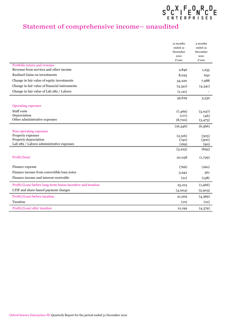

## Statement of comprehensive income– unaudited

|                                                             | 12 months        | 3 months         |
|-------------------------------------------------------------|------------------|------------------|
|                                                             | ended 31         | ended 31         |
|                                                             | December<br>2021 | December<br>2021 |
|                                                             | £'000            | £'000            |
| Portfolio return and revenue                                |                  |                  |
| Revenue from services and other income                      | 2,846            | 1,235            |
| Realised Gains on investments                               | 8,025            | 650              |
| Change in fair value of equity investments                  | 34,220           | 7,988            |
| Change in fair value of financial instruments               | (4,341)          | (4,341)          |
| Change in fair value of Lab 282 / Lab10x                    | (1, 121)         |                  |
|                                                             | 39,629           | 5,532            |
| <b>Operating expenses</b>                                   |                  |                  |
| Staff costs                                                 | (7,469)          | (3,047)          |
| Depreciation                                                | (177)            | (46)             |
| Other administrative expenses                               | (8,700)          | (3, 473)         |
|                                                             | (16,346)         | (6,566)          |
| Non-operating expenses                                      |                  |                  |
| Property expenses                                           | (2,316)          | (305)            |
| Property depreciation                                       | (740)            | (300)            |
| Lab 282 / Lab10x administrative expenses                    | (169)            | (90)             |
|                                                             | (3,225)          | (695)            |
| Profit/(loss)                                               | 20,058           | (1,729)          |
|                                                             |                  |                  |
| Finance expense                                             | (766)            | (160)            |
| Finance income from convertible loan notes                  | 5,942            | 561              |
| Finance income and interest receivable                      | (21)             | (138)            |
| Profit/(Loss) before long-term bonus incentive and taxation | 25,213           | (1,466)          |
| LTIP and share-based payment charges                        | (4,004)          | (2,903)          |
| Profit/(Loss) before taxation                               | 21,209           | (4,369)          |
| Taxation                                                    | (10)             | (10)             |
| Profit/(Loss) after taxation                                | 21,199           | (4,379)          |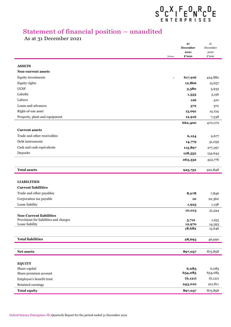## $S^0_{\epsilon\,N\,\tau\,\epsilon\,R\,\rho\,R\,\rho\,\epsilon}^{\,X}\Gamma^{\,F}_{\epsilon\,R\,\rho\,\rho\,\rho\,\epsilon}^{\,B}\Gamma^{\,B}_{\epsilon\,S}\epsilon$

## Statement of financial position – unaudited

As at 31 December 2021

L

L,

|                                        |              | 31<br>December   | $31\,$<br>December |
|----------------------------------------|--------------|------------------|--------------------|
|                                        |              | 2021             | 2020               |
|                                        | <b>Notes</b> | £'000            | £'000              |
| <b>ASSETS</b>                          |              |                  |                    |
| Non-current assets                     |              |                  |                    |
| Equity investments                     | $\mathbf 1$  | 617,916          | 424,882            |
| Equity rights                          |              | 12,866           | 15,657             |
| <b>UCSF</b>                            |              | 3,580            | 3,933              |
| Lab <sub>282</sub>                     |              | 1,533            | 3,156              |
| Lab <sub>10</sub> x                    |              | 126              | 410                |
| Loans and advances                     |              | 372              | 372                |
| Right-of-use asset                     |              | 13,091           | 14,124             |
| Property, plant and equipment          |              | 12,916           | 7,538              |
|                                        |              | 662,400          | 470,072            |
| <b>Current assets</b>                  |              |                  |                    |
| Trade and other receivables            |              | 6,124            | 9,677              |
| Debt instruments                       |              | 14,779           | 31,059             |
| Cash and cash equivalents              |              | 113,897          | 277,397            |
| Deposits                               |              | 128,552          | 134,643            |
|                                        |              | 263,352          | 452,776            |
| <b>Total assets</b>                    |              |                  |                    |
|                                        |              | 925,752          | 922,848            |
| <b>LIABILITIES</b>                     |              |                  |                    |
| <b>Current liabilities</b>             |              |                  |                    |
| Trade and other payables               |              | 8,078            | 7,846              |
| Corporation tax payable                |              | 10               | 22,360             |
| Lease liability                        |              | 1,925            | 1,138              |
|                                        |              | 10,013           | 31,344             |
| <b>Non-Current liabilities</b>         |              |                  |                    |
| Provisions for liabilities and charges |              | 5,712            | 1,253              |
| Lease liability                        |              | 12,970<br>18,682 | 14,393<br>15,646   |
|                                        |              |                  |                    |
| <b>Total liabilities</b>               |              | 28,695           | 46,990             |
|                                        |              |                  |                    |
| Net assets                             |              | 897,057          | 875,858            |
|                                        |              |                  |                    |
| <b>EQUITY</b>                          |              |                  |                    |
| Share capital                          |              | 6,083            | 6,083              |
| Share premium account                  |              | 654,085          | 654,085            |
| Employee's benefit trust               |              | (6, 121)         | (6, 121)           |
| Retained earnings                      |              | 243,010          | 221,811            |
| <b>Total equity</b>                    |              | 897,057          | 875,858            |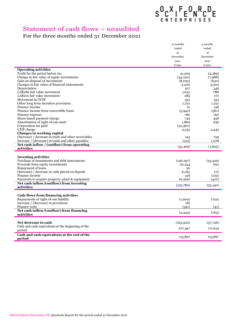## $S^0_{\epsilon\stackrel{\scriptscriptstyle{R}}{\scriptscriptstyle{N}}}\zeta^X_{\epsilon\stackrel{\scriptscriptstyle{R}}{\scriptscriptstyle{R}}}\bar{F}^0_{\epsilon\stackrel{\scriptscriptstyle{R}}{\scriptscriptstyle{R}}}\bar{N}^R_{\epsilon\stackrel{\scriptscriptstyle{R}}{\scriptscriptstyle{S}}}\bar{F}^D_{\epsilon}$

## Statement of cash flows – unaudited

## For the three months ended 31 December 2021

J.

J. ż

|                                                      | 12 months  | 3 months  |
|------------------------------------------------------|------------|-----------|
|                                                      | ended      | ended     |
|                                                      | 31         | 31        |
|                                                      | December   | December  |
|                                                      | 2021       | 2021      |
|                                                      | £'000      | £'000     |
| <b>Operating activities</b>                          |            |           |
| Profit for the period before tax                     | 21,209     | (4,369)   |
| Change in fair value of equity investments           | (34,220)   | (7,988)   |
| Gain on disposal of investment                       | (8,025)    | (650)     |
| Changes in fair value of financial instruments       | 3,200      | 3,200     |
| Depreciation                                         | 917        | 346       |
| LAB282 fair value movement                           | 1,623      | 788       |
| LAB10x fair value movement                           | 285        | 172       |
| Movement in UCSF                                     | 353        | 353       |
| Other long term incentive provisions                 | 1.212      | 1,212     |
| Finance income                                       | 21         | 138       |
| Finance income from convertible loans                | (5,942)    | (561)     |
| Finance expense                                      | 766        | 160       |
| Share based payment charge                           | 749        | 458       |
| Amortisation of right-of-use asset                   | 1,860      | 636       |
| Corporation tax paid                                 | (22,360)   |           |
| LTIP charge                                          | 3,255      | 2,445     |
| Changes in working capital                           |            |           |
| (Increase) / decrease in trade and other receivables | 143        | 759       |
| Increase / (decrease) in trade and other payables    | (515)      | 1,078     |
| Net cash inflow / (outflow) from operating           |            |           |
| activities                                           | (35, 469)  | (1,823)   |
|                                                      |            |           |
| <b>Investing activities</b>                          |            |           |
| Purchase of investments and debt instruments         | (146, 297) | (55, 429) |
| Proceeds from equity investments                     | 20,254     | 650       |
| Repayment of loans                                   | 50         |           |
| (Increase) / decrease in cash placed on deposit      | 6,091      | 172       |
| Finance income                                       | 416        | (123)     |
| Payments to acquire property, plant & equipment      | (6, 296)   | (410)     |
| Net cash inflow/(outflow) from investing             | (125,782)  | (55, 140) |
| activities                                           |            |           |
|                                                      |            |           |
| Cash flows from financing activities                 |            |           |
| Repayments of right-of-use liability                 | (1,900)    | (722)     |
| Increase / (decrease) in provisions                  | (8)        |           |
| Finance costs                                        | (341)      | (41)      |
| Net cash inflow/(outflow) from financing             | (2, 249)   | (763)     |
| activities                                           |            |           |
|                                                      |            |           |
| Net decrease in cash                                 | (163,500)  | (57,726)  |
| Cash and cash equivalents at the beginning of the    | 277,397    | 171,623   |
| period                                               |            |           |
| Cash and cash equivalents at the end of the          | 113,897    | 113,897   |
| period                                               |            |           |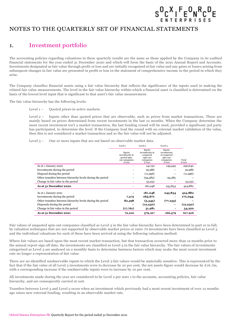## $S^0_{\epsilon\,N\,\tau\,\epsilon\,R\,\rho\,R\,\rho\,\epsilon}^{\,X}\,I^{\,F}_{\epsilon\,R\,\rho\,\rho\,\rho\,\rho\,\epsilon}^{\,D}_{\epsilon\,S}\,I^{\,E}_{\epsilon\,S}$

## NOTES TO THE QUARTERLY SET OF FINANCIAL STATEMENTS

## 1. Investment portfolio

The accounting policies regarding valuations in these quarterly results are the same as those applied by the Company in its audited financial statements for the year ended 31 December 2020 and which will form the basis of the 2021 Annual Report and Accounts. Investments designated as fair value through profit or loss and are initially recognised at fair value and any gains or losses arising from subsequent changes in fair value are presented in profit or loss in the statement of comprehensive income in the period in which they arise.

The Company classifies financial assets using a fair value hierarchy that reflects the significance of the inputs used in making the related fair value measurements. The level in the fair value hierarchy within which a financial asset is classified is determined on the basis of the lowest level input that is significant to that asset's fair value measurement.

The fair value hierarchy has the following levels:

Level  $1$  – Quoted prices in active markets.

Level 2 – Inputs other than quoted prices that are observable, such as prices from market transactions. These are mainly based on prices determined from recent investments in the last 12 months. When the Company determine the most recent investment isn't a market transaction, the last funding round will be used, provided a significant 3rd party has participated, to determine the level. If the Company lead the round with no external market validation of the value, then this is not considered a market transaction and so the fair value will not be adjusted.

Level 3 – One or more inputs that are not based on observable market data.

|                                                            | Level 1                                                            | Level 2                                                                | Level 3                                                                |                |
|------------------------------------------------------------|--------------------------------------------------------------------|------------------------------------------------------------------------|------------------------------------------------------------------------|----------------|
|                                                            | Equity<br>investments in<br>quoted spin-<br>out companies<br>£'000 | Equity<br>investments in<br>unquoted<br>spin-out<br>companies<br>£'000 | Equity<br>investments<br>in unquoted<br>spin-out<br>companies<br>£'000 | Total<br>£'000 |
| As at 1 January 2020                                       |                                                                    | 141,191                                                                | 149,449                                                                | 290,640        |
| Investments during the period                              |                                                                    | 92,986                                                                 |                                                                        | 92,986         |
| Disposal during the period                                 |                                                                    | (11,996)                                                               |                                                                        | (11,996)       |
| Other transfers between hierarchy levels during the period |                                                                    | (94,385)                                                               | 94,385                                                                 |                |
| Change in fair value in the period                         |                                                                    | 53,252                                                                 |                                                                        | 53,252         |
| As at 31 December 2020                                     |                                                                    | 181,048                                                                | 243,834                                                                | 424,882        |
| As at 1 January 2021                                       |                                                                    | 181,048                                                                | 243,834                                                                | 424,882        |
| Investments during the period                              | 7,373                                                              | 163,671                                                                |                                                                        | 171,044        |
| Other transfers between hierarchy levels during the period | 82,598                                                             | (5,343)                                                                | (77, 255)                                                              |                |
| Disposals during the period                                |                                                                    | (12, 230)                                                              |                                                                        | (12, 230)      |
| Change in fair value in the period                         | (17,761)                                                           | 51,981                                                                 |                                                                        | 34,220         |
| As at 31 December 2021                                     | 72,210                                                             | 379,127                                                                | 166,579                                                                | 617,916        |

Fair values of unquoted spin-out companies classified as Level 3 in the fair value hierarchy have been determined in part or in full. by valuation techniques that are not supported by observable market prices or rates 70 investments have been classified as Level 3 and the individual valuations for each of these have been arrived at using the following valuation method:

Where fair values are based upon the most recent market transaction, but that transaction occurred more than 12 months prior to the annual report sign off date, the investments are classified as Level 3 in the fair value hierarchy. The fair values of investments categorised as Level 3 are analysed on a monthly basis to determine business factors which may make the most recent investment rate no longer a representation of fair value.

There are no identified unobservable inputs to which the Level 3 fair values would be materially sensitive. This is represented by the fact that if the fair value of all Level 3 investments were to decrease by 10 per cent, the net assets figure would decrease by £16.7m, with a corresponding increase if the unobservable inputs were to increase by 10 per cent.

All investments made during the year are considered to be Level 2 per note 1 to the accounts, accounting policies, fair value hierarchy, and are consequently carried at cost.

Transfers between Level 3 and Level 2 occur when an investment which previously had a most recent investment of over 12 months ago raises new external funding, resulting in an observable market rate.